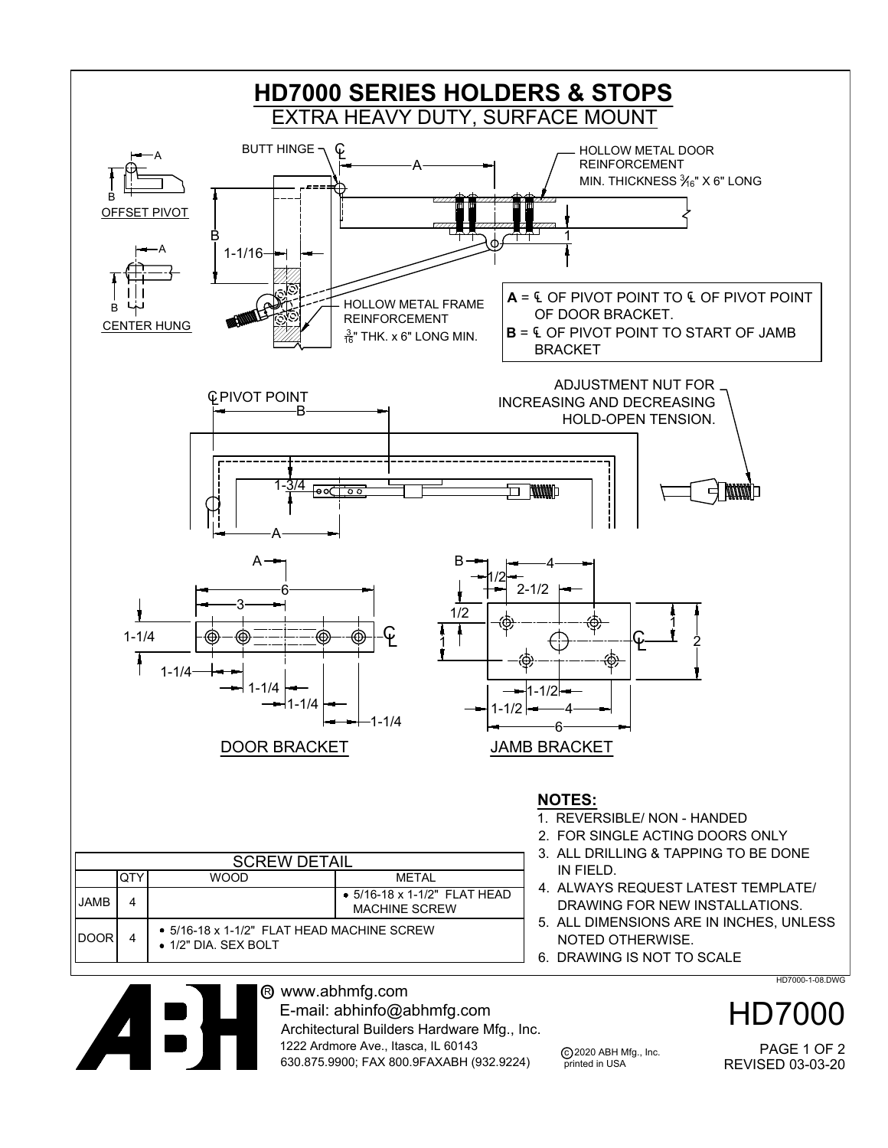

c 2020 ABH Mfg., Inc. printed in USA Architectural Builders Hardware Mfg., Inc. 1222 Ardmore Ave., Itasca, IL 60143 630.875.9900; FAX 800.9FAXABH (932.9224)

REVISED 03-03-20 PAGE 1 OF 2